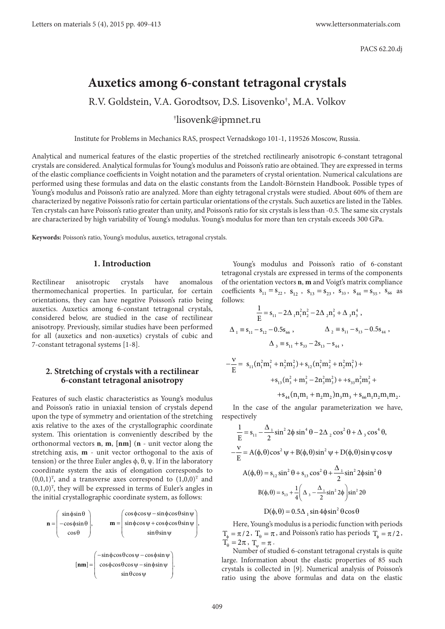# **Auxetics among 6-constant tetragonal crystals**

R.V. Goldstein, V.A. Gorodtsov, D.S. Lisovenko† , M.A. Volkov

# † lisovenk@ipmnet.ru

Institute for Problems in Mechanics RAS, prospect Vernadskogo 101-1, 119526 Moscow, Russia.

Analytical and numerical features of the elastic properties of the stretched rectilinearly anisotropic 6-constant tetragonal crystals are considered. Analytical formulas for Young's modulus and Poisson's ratio are obtained. They are expressed in terms of the elastic compliance coefficients in Voight notation and the parameters of crystal orientation. Numerical calculations are performed using these formulas and data on the elastic constants from the Landolt-Börnstein Handbook. Possible types of Young's modulus and Poisson's ratio are analyzed. More than eighty tetragonal crystals were studied. About 60% of them are characterized by negative Poisson's ratio for certain particular orientations of the crystals. Such auxetics are listed in the Tables. Ten crystals can have Poisson's ratio greater than unity, and Poisson's ratio for six crystals is less than -0.5. The same six crystals are characterized by high variability of Young's modulus. Young's modulus for more than ten crystals exceeds 300 GPa.

**Keywords:** Poisson's ratio, Young's modulus, auxetics, tetragonal crystals.

### **1. Introduction**

Rectilinear anisotropic crystals have anomalous thermomechanical properties. In particular, for certain orientations, they can have negative Poisson's ratio being auxetics. Auxetics among 6-constant tetragonal crystals, considered below, are studied in the case of rectilinear anisotropy. Previously, similar studies have been performed for all (auxetics and non-auxetics) crystals of cubic and 7-constant tetragonal systems [1-8].

## **2. Stretching of crystals with a rectilinear 6-constant tetragonal anisotropy**

Features of such elastic characteristics as Young's modulus and Poisson's ratio in uniaxial tension of crystals depend upon the type of symmetry and orientation of the stretching axis relative to the axes of the crystallographic coordinate system. This orientation is conveniently described by the orthonormal vectors **n**, **m**, **[nm]** (**n** - unit vector along the stretching axis, **m** - unit vector orthogonal to the axis of tension) or the three Euler angles ϕ, θ, ψ. If in the laboratory coordinate system the axis of elongation corresponds to  $(0,0,1)^T$ , and a transverse axes correspond to  $(1,0,0)^T$  and  $(0,1,0)$ <sup>T</sup>, they will be expressed in terms of Euler's angles in the initial crystallographic coordinate system, as follows:



Young's modulus and Poisson's ratio of 6-constant tetragonal crystals are expressed in terms of the components of the orientation vectors **n**, **m** and Voigt's matrix compliance coefficients  $s_{11} = s_{22}$ ,  $s_{12}$ ,  $s_{13} = s_{23}$ ,  $s_{33}$ ,  $s_{44} = s_{55}$ ,  $s_{66}$  as follows:

$$
\frac{1}{E} = s_{11} - 2\Delta_{1}n_{1}^{2}n_{2}^{2} - 2\Delta_{2}n_{3}^{2} + \Delta_{3}n_{3}^{4},
$$
  
\n
$$
\Delta_{1} = s_{11} - s_{12} - 0.5s_{66}, \qquad \Delta_{2} = s_{11} - s_{13} - 0.5s_{44},
$$
  
\n
$$
\Delta_{3} = s_{11} + s_{33} - 2s_{13} - s_{44},
$$
  
\n
$$
-\frac{v}{E} = s_{11}(n_{1}^{2}m_{1}^{2} + n_{2}^{2}m_{2}^{2}) + s_{12}(n_{1}^{2}m_{2}^{2} + n_{2}^{2}m_{1}^{2}) +
$$
  
\n
$$
+s_{13}(n_{3}^{2} + m_{3}^{2} - 2n_{3}^{2}m_{3}^{2}) + s_{33}n_{3}^{2}m_{3}^{2} +
$$

 $+ s_{44} (n_1 m_1 + n_2 m_2) n_3 m_3 + s_{66} n_1 n_2 m_1 m_2.$ 

In the case of the angular parameterization we have, respectively

$$
\frac{1}{E} = s_{11} - \frac{\Delta_1}{2} \sin^2 2\phi \sin^4 \theta - 2\Delta_2 \cos^2 \theta + \Delta_3 \cos^4 \theta,
$$
  

$$
-\frac{v}{E} = A(\phi, \theta) \cos^2 \psi + B(\phi, \theta) \sin^2 \psi + D(\phi, \theta) \sin \psi \cos \psi
$$
  

$$
A(\phi, \theta) = s_{12} \sin^2 \theta + s_{13} \cos^2 \theta + \frac{\Delta_1}{2} \sin^2 2\phi \sin^2 \theta
$$
  

$$
B(\phi, \theta) = s_{13} + \frac{1}{4} \left( \Delta_3 - \frac{\Delta_1}{2} \sin^2 2\phi \right) \sin^2 2\theta
$$

$$
D(\phi, \theta) = 0.5\Delta_1 \sin 4\phi \sin^2 \theta \cos \theta
$$

Here, Young's modulus is a periodic function with periods  $T_{\phi} = \pi / 2$ ,  $T_{\theta} = \pi$ , and Poisson's ratio has periods  $T_{\phi} = \pi / 2$ ,  $T_{\theta}^{\dagger} = 2\pi$ ,  $T_{\theta} = \pi$ .

Number of studied 6-constant tetragonal crystals is quite large. Information about the elastic properties of 85 such crystals is collected in [9]. Numerical analysis of Poisson's ratio using the above formulas and data on the elastic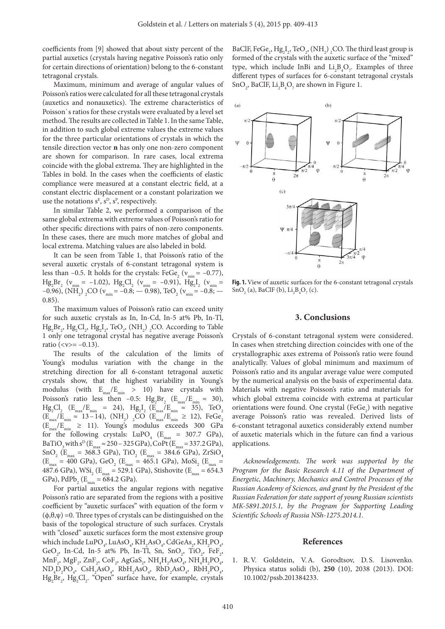coefficients from [9] showed that about sixty percent of the partial auxetics (crystals having negative Poisson's ratio only for certain directions of orientation) belong to the 6-constant tetragonal crystals.

Maximum, minimum and average of angular values of Poisson's ratios were calculated for all these tetragonal crystals (auxetics and nonauxetics). The extreme characteristics of Poisson`s ratios for these crystals were evaluated by a level set method. The results are collected in Table 1. In the same Table, in addition to such global extreme values the extreme values for the three particular orientations of crystals in which the tensile direction vector **n** has only one non-zero component are shown for comparison. In rare cases, local extrema coincide with the global extrema. They are highlighted in the Tables in bold. In the cases when the coefficients of elastic compliance were measured at a constant electric field, at a constant electric displacement or a constant polarization we use the notations  $s^E$ ,  $s^D$ ,  $s^P$ , respectively.

In similar Table 2, we performed a comparison of the same global extrema with extreme values of Poisson's ratio for other specific directions with pairs of non-zero components. In these cases, there are much more matches of global and local extrema. Matching values are also labeled in bold.

It can be seen from Table 1, that Poisson's ratio of the several auxetic crystals of 6-constant tetragonal system is less than -0.5. It holds for the crystals: FeGe<sub>2</sub> ( $v_{\text{min}} = -0.77$ ),  $Hg_2Br_2$  ( $v_{min} = -1.02$ ),  $Hg_2Cl_2$  ( $v_{min} = -0.91$ ),  $Hg_2I_2$  ( $v_{min} =$ –0.96), (NH<sub>2</sub>) <sub>2</sub>CO ( $v_{\text{min}}$  = –0.8; — 0.98), TeO<sub>2</sub> ( $v_{\text{min}}$  = –0.8; — 0.85).

The maximum values of Poisson's ratio can exceed unity for such auxetic crystals as In, In-Cd, In-5 at% Pb, In-Tl,  $Hg_2Br_2$ ,  $Hg_2Cl_2$ ,  $Hg_2I_2$ , TeO<sub>2</sub>, (NH<sub>2</sub>) <sub>2</sub>CO. According to Table 1 only one tetragonal crystal has negative average Poisson's ratio ( $\langle v \rangle = -0.13$ ).

The results of the calculation of the limits of Young's modulus variation with the change in the stretching direction for all 6-constant tetragonal auxetic crystals show, that the highest variability in Young's modulus (with  $E_{\text{max}}/E_{\text{min}} > 10$ ) have crystals with Poisson's ratio less then -0.5:  $Hg_2Br_2$  ( $E_{max}/E_{min} \approx 30$ ),  $\text{Hg}_{2}\text{Cl}_{2}$  (E<sub>max</sub>/E<sub>min</sub> = 24),  $\text{Hg}_{2}\text{I}_{2}$  (E<sub>max</sub>/E<sub>min</sub>  $\approx$  35), TeO<sub>2</sub>  $(E_{\text{max}}/E_{\text{min}} \approx 13-14)$ ,  $(NH_2)$ ,  $2CO$   $(E_{\text{max}}/E_{\text{min}} \ge 12)$ ,  $FeGe_2$  $(E_{\text{max}}/E_{\text{min}}^{\text{max}} \ge 11)$ . Young's modulus exceeds 300 GPa for the following crystals:  $LuPO_4$  ( $E_{max}$  = 307.7 GPa), BaTiO<sub>3</sub> with  $s^D$  (E<sub>max</sub>  $\approx$  250 – 325 GPa), CoPt (E<sub>max</sub> = 337.2 GPa),  $\text{SnO}_2$  ( $\text{E}_{\text{max}}$  = 368.3 GPa), TiO<sub>2</sub> ( $\text{E}_{\text{max}}$  = 384.6 GPa), ZrSiO<sub>4</sub>  $(E_{\text{max}} = 400 \text{ GPa})$ ,  $\text{GeO}_2$  ( $E_{\text{max}} = 465.1 \text{ GPa}$ ),  $\text{MoSi}_2$  ( $E_{\text{max}} =$ 487.6 GPa),  $WSi_2$  ( $E_{max}$  = 529.1 GPa), Stishovite ( $E_{max}$  = 654.3 GPa),  $PdPb_2$  ( $E_{max}$  = 684.2 GPa).

For partial auxetics the angular regions with negative Poisson's ratio are separated from the regions with a positive coefficient by "auxetic surfaces" with equation of the form ν (ϕ,θ,ψ) =0. Three types of crystals can be distinguished on the basis of the topological structure of such surfaces. Crystals with "closed" auxetic surfaces form the most extensive group which include  $\text{LuPO}_4$ ,  $\text{LuAsO}_4$ ,  $\text{KH}_2\text{AsO}_4$ ,  $\text{CdGeAs}_2$ ,  $\text{KH}_2\text{PO}_4$ , GeO<sub>2</sub>, In-Cd, In-5 at% Pb, In-Tl, Sn, SnO<sub>2</sub>, TiO<sub>2</sub>, FeF<sub>2</sub>,  $\text{MnF}_{2}$ ,  $\text{MgF}_{2}$ ,  $\text{ZnF}_{2}$ ,  $\text{CoF}_{2}$ ,  $\text{AgGaS}_{2}$ ,  $\text{NH}_{4}\text{H}_{2}\text{AsO}_{4}$ ,  $\text{NH}_{4}\text{H}_{2}\text{PO}_{4}$ ,  $ND_4D_2PO_4$ ,  $CsH_2AsO_4$ ,  $RbH_2AsO_4$ ,  $RbD_2AsO_4$ ,  $RbH_2PO_4$ ,  $Hg_2Br_2$ ,  $Hg_2Cl_2$ . "Open" surface have, for example, crystals

BaClF, FeGe<sub>2</sub>, Hg<sub>2</sub>I<sub>2</sub>, TeO<sub>2</sub>, (NH<sub>2</sub>)<sub>2</sub>CO. The third least group is formed of the crystals with the auxetic surface of the "mixed" type, which include InBi and  $Li_2B_4O_7$ . Examples of three different types of surfaces for 6-constant tetragonal crystals  $\text{SnO}_2$ , BaClF,  $\text{Li}_2\text{B}_4\text{O}_7$  are shown in Figure 1.



Fig. 1. View of auxetic surfaces for the 6-constant tetragonal crystals  $SnO<sub>2</sub>$  (a), BaClF (b), Li<sub>2</sub>B<sub>4</sub>O<sub>7</sub> (c).

#### **3. Conclusions**

Crystals of 6-constant tetragonal system were considered. In cases when stretching direction coincides with one of the crystallographic axes extrema of Poisson's ratio were found analytically. Values of global minimum and maximum of Poisson's ratio and its angular average value were computed by the numerical analysis on the basis of experimental data. Materials with negative Poisson's ratio and materials for which global extrema coincide with extrema at particular orientations were found. One crystal (FeGe<sub>2</sub>) with negative average Poisson's ratio was revealed. Derived lists of 6-constant tetragonal auxetics considerably extend number of auxetic materials which in the future can find a various applications.

*Acknowledgements. The work was supported by the Program for the Basic Research 4.11 of the Department of Energetic, Machinery, Mechanics and Control Processes of the Russian Academy of Sciences, and grant by the President of the Russian Federation for state support of young Russian scientists МК-5891.2015.1, by the Program for Supporting Leading Scientific Schools of Russia NSh-1275.2014.1.*

#### **References**

1. R.V. Goldstein, V.A. Gorodtsov, D.S. Lisovenko. Physica status solidi (b), **250** (10), 2038 (2013). DOI: 10.1002/pssb.201384233.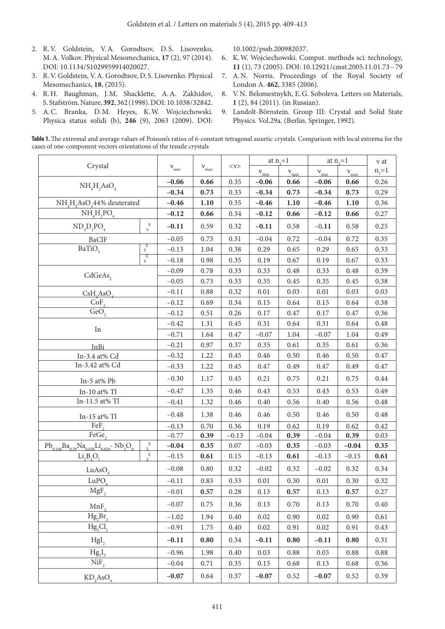- 2. R.V. Goldstein, V.A. Gorodtsov, D.S. Lisovenko, M.A. Volkov. Physical Mesomechanics, **17** (2), 97 (2014). DOI: 10.1134/S1029959914020027.
- 3. R.V. Goldstein, V.A. Gorodtsov, D. S. Lisovenko. Physical Mesomechanics, **18**, (2015).
- 4. R.H. Baughman, J.M. Shacklette, A.A. Zakhidov, S. Stafström. Nature, **392**, 362 (1998). DOI: 10.1038/32842.
- 5. A.C. Branka, D.M. Heyes, K.W. Wojciechowski. Physica status solidi (b), **246** (9), 2063 (2009). DOI:

10.1002/pssb.200982037.

- 6. K.W. Wojciechowski. Comput. methods sci. technology, **11** (1), 73 (2005). DOI: 10.12921/cmst.2005.11.01.73–79
- 7. A.N. Norris. Proceedings of the Royal Society of London A. **462**, 3385 (2006).
- 8. V.N. Belomestnykh, E.G. Soboleva. Letters on Materials, **1** (2), 84 (2011). (in Russian).
- 9. Landolt-Börnstein. Group III: Crystal and Solid State Physics. Vol.29a. (Berlin. Springer, 1992).

**Table 1.** The extremal and average values of Poisson's ratios of 6-constant tetragonal auxetic crystals. Comparison with local extrema for the cases of one-component vectors orientations of the tensile crystals

| Crystal                                                                                                                               |                             |                 |                         |               | at $n_{i}=1$    |               | at $n_{\circ}=1$ |           | $v$ at    |
|---------------------------------------------------------------------------------------------------------------------------------------|-----------------------------|-----------------|-------------------------|---------------|-----------------|---------------|------------------|-----------|-----------|
|                                                                                                                                       |                             | $\rm \nu_{min}$ | ${\rm \bf v}_{\rm max}$ | $<\!\nu\!\!>$ | ${\rm v_{min}}$ | $\rm v_{max}$ | $v_{\text{min}}$ | $v_{max}$ | $n_{3}=1$ |
| $\mathrm{NH}_4\mathrm{H}_2\mathrm{AsO}_4$                                                                                             |                             | $-0.06$         | 0.66                    | 0.35          | $-0.06$         | 0.66          | $-0.06$          | 0.66      | 0.26      |
|                                                                                                                                       |                             | $-0.34$         | 0.73                    | 0.33          | $-0.34$         | 0.73          | $-0.34$          | 0.73      | 0.29      |
| $\mathrm{NH}_4\mathrm{H}_2\mathrm{AsO}_444\%$ deuterated                                                                              |                             | $-0.46$         | 1.10                    | 0.35          | $-0.46$         | 1.10          | $-0.46$          | 1.10      | 0.36      |
| $\rm NH_4H_2PO_4$                                                                                                                     |                             | $-0.12$         | 0.66                    | 0.34          | $-0.12$         | 0.66          | $-0.12$          | 0.66      | 0.27      |
| $\mathrm{ND}_{4}\mathrm{D}_{2}\mathrm{PO}_{4}$                                                                                        | $\mathbf E$<br>S            | $-0.11$         | 0.59                    | 0.32          | $-0.11$         | 0.58          | $-0.11$          | 0.58      | 0.25      |
| BaClF                                                                                                                                 |                             | $-0.05$         | 0.73                    | 0.31          | $-0.04$         | 0.72          | $-0.04$          | 0.72      | 0.35      |
| $\overline{BaTiO}_3$                                                                                                                  | E<br>$\mathbf S$            | $-0.13$         | 1.04                    | 0.38          | 0.29            | 0.65          | 0.29             | 0.65      | 0.33      |
|                                                                                                                                       | E<br>S                      | $-0.18$         | 0.98                    | 0.35          | 0.19            | $0.67\,$      | 0.19             | 0.67      | 0.33      |
| C dGeAs <sub>2</sub>                                                                                                                  |                             | $-0.09$         | 0.78                    | 0.33          | 0.33            | $0.48\,$      | 0.33             | 0.48      | 0.39      |
|                                                                                                                                       |                             | $-0.05$         | 0.73                    | 0.33          | 0.35            | 0.45          | 0.35             | 0.45      | 0.38      |
| $CsH_2AsO_4$                                                                                                                          |                             | $-0.11$         | 0.88                    | 0.32          | $0.01\,$        | 0.03          | $0.01\,$         | 0.03      | 0.03      |
| $\frac{\overline{CoF}_2}{\overline{Geo}_2}$                                                                                           |                             | $-0.12$         | 0.69                    | 0.34          | 0.15            | 0.64          | 0.15             | 0.64      | 0.38      |
|                                                                                                                                       |                             | $-0.12$         | 0.51                    | 0.26          | $0.17\,$        | $0.47\,$      | 0.17             | 0.47      | 0.36      |
|                                                                                                                                       |                             | $-0.42$         | 1.31                    | 0.45          | 0.31            | 0.64          | 0.31             | 0.64      | 0.48      |
| In                                                                                                                                    |                             | $-0.71$         | 1.64                    | $0.47\,$      | $-0.07$         | 1.04          | $-0.07$          | 1.04      | 0.49      |
| InBi                                                                                                                                  |                             | $-0.21$         | $0.97\,$                | 0.37          | 0.35            | 0.61          | 0.35             | $0.61\,$  | 0.36      |
| In-3.4 at% Cd                                                                                                                         |                             | $-0.32$         | 1.22                    | 0.45          | $0.46\,$        | 0.50          | 0.46             | 0.50      | 0.47      |
| In-3.42 at% Cd                                                                                                                        |                             | $-0.33$         | 1.22                    | 0.45          | 0.47            | 0.49          | 0.47             | 0.49      | 0.47      |
| In-5 at% Pb                                                                                                                           |                             | $-0.30$         | 1.17                    | 0.45          | 0.21            | 0.75          | 0.21             | 0.75      | 0.44      |
| In-10 at% Tl                                                                                                                          |                             | $-0.47$         | 1.35                    | 0.46          | 0.43            | 0.53          | 0.43             | 0.53      | 0.49      |
| In-11.5 at% Tl                                                                                                                        |                             | $-0.41$         | 1.32                    | 0.46          | 0.40            | 0.56          | 0.40             | 0.56      | 0.48      |
| In-15 at% Tl                                                                                                                          |                             | $-0.48$         | 1.38                    | 0.46          | 0.46            | 0.50          | 0.46             | 0.50      | 0.48      |
| FeF,                                                                                                                                  |                             | $-0.13$         | 0.70                    | 0.36          | 0.19            | 0.62          | 0.19             | 0.62      | 0.42      |
| $\overline{\text{FeGe}}$                                                                                                              |                             | $-0.77$         | 0.39                    | $-0.13$       | $-0.04$         | 0.39          | $-0.04$          | 0.39      | 0.03      |
| $\mathrm{Pb}_{_{0.346}}\mathrm{Ba}_{_{0.59}}\mathrm{Na}_{_{0.036}}\mathrm{Li}_{_{0.028}}\text{- }\mathrm{Nb}_{_{2}\mathrm{O}_{_{6}}}$ | $\mathbf E$                 | $-0.04$         | 0.35                    | $0.07\,$      | $-0.03$         | 0.35          | $-0.03$          | $-0.04$   | 0.35      |
| $Li2B4O7$                                                                                                                             | $\mathbf E$<br>$\mathbf{s}$ | $-0.15$         | 0.61                    | 0.15          | $-0.13$         | 0.61          | $-0.13$          | $-0.15$   | 0.61      |
| $\text{LuAsO}_4$                                                                                                                      |                             | $-0.08$         | $0.80\,$                | 0.32          | $-0.02$         | 0.32          | $-0.02$          | 0.32      | 0.34      |
| LuPO <sub>4</sub>                                                                                                                     |                             | $-0.11$         | 0.83                    | 0.33          | $0.01\,$        | 0.30          | $0.01\,$         | 0.30      | 0.32      |
| $\overline{\text{MgF}}_2$                                                                                                             |                             | $-0.01$         | 0.57                    | 0.28          | 0.13            | 0.57          | 0.13             | 0.57      | 0.27      |
| $MnF_{2}$                                                                                                                             |                             | $-0.07$         | 0.75                    | 0.36          | 0.13            | 0.70          | 0.13             | 0.70      | 0.40      |
| Hg,Br,                                                                                                                                |                             | $-1.02$         | 1.94                    | $0.40\,$      | $0.02\,$        | 0.90          | 0.02             | 0.90      | 0.61      |
| Hg,Cl,                                                                                                                                |                             | $-0.91$         | 1.75                    | 0.40          | 0.02            | 0.91          | 0.02             | 0.91      | 0.43      |
| Hgl <sub>2</sub>                                                                                                                      |                             | $-0.11$         | 0.80                    | 0.34          | $-0.11$         | $0.80\,$      | $-0.11$          | 0.80      | 0.31      |
| $Hg_2I_2$                                                                                                                             |                             | $-0.96$         | 1.98                    | 0.40          | 0.03            | 0.88          | 0.03             | 0.88      | 0.88      |
| NiF <sub>2</sub>                                                                                                                      |                             | $-0.04$         | 0.71                    | 0.35          | 0.13            | 0.68          | 0.13             | 0.68      | 0.36      |
| KD <sub>4</sub> ASO <sub>4</sub>                                                                                                      |                             | $-0.07$         | 0.64                    | 0.37          | $-0.07$         | 0.52          | $-0.07$          | 0.52      | 0.39      |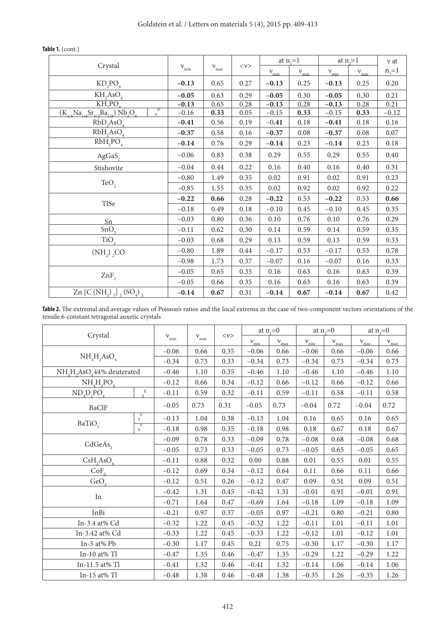|                                                                                           |                 |                 |         |                  | at $n_{i}=1$     | at $n_{\gamma}=1$ | $v$ at           |           |
|-------------------------------------------------------------------------------------------|-----------------|-----------------|---------|------------------|------------------|-------------------|------------------|-----------|
| Crystal                                                                                   | ${\rm v_{min}}$ | $\rm \nu_{max}$ | $<\nu>$ | $v_{\text{min}}$ | $v_{\text{max}}$ | $v_{\min}$        | $v_{\text{max}}$ | $n_{3}=1$ |
| $KD_2PO_4$                                                                                | $-0.13$         | 0.65            | 0.27    | $-0.13$          | 0.25             | $-0.13$           | 0.25             | 0.20      |
| $\mathrm{KH}_{2}\mathrm{AsO}_{4}$                                                         | $-0.05$         | 0.63            | 0.29    | $-0.05$          | 0.30             | $-0.05$           | 0.30             | 0.21      |
| KH <sub>2</sub> PO <sub>4</sub>                                                           | $-0.13$         | 0.65            | 0.28    | $-0.13$          | 0.28             | $-0.13$           | 0.28             | 0.21      |
| $\overline{D}$<br>s<br>$(K_{1/6}Na_{1/6}Sr_{1/2}Ba_{1/6})$ Nb <sub>2</sub> O <sub>6</sub> | $-0.16$         | 0.33            | 0.05    | $-0.15$          | 0.33             | $-0.15$           | 0.33             | $-0.12$   |
| $RbD_2AsO_4$                                                                              | $-0.41$         | 0.56            | 0.19    | $-0.41$          | 0.18             | $-0.41$           | 0.18             | 0.16      |
| RbH, AsO <sub>4</sub>                                                                     | $-0.37$         | 0.58            | 0.16    | $-0.37$          | 0.08             | $-0.37$           | 0.08             | 0.07      |
| $RbH_{2}PO_{4}$                                                                           | $-0.14$         | 0.76            | 0.29    | $-0.14$          | 0.23             | $-0.14$           | 0.23             | 0.18      |
| AgGaS,                                                                                    | $-0.06$         | 0.83            | 0.38    | 0.29             | 0.55             | 0.29              | 0.55             | 0.40      |
| Stishovite                                                                                | $-0.04$         | 0.44            | 0.22    | 0.16             | 0.40             | 0.16              | 0.40             | 0.31      |
| TeO <sub>2</sub>                                                                          | $-0.80$         | 1.49            | 0.35    | 0.02             | 0.91             | 0.02              | 0.91             | 0.23      |
|                                                                                           | $-0.85$         | 1.55            | 0.35    | 0.02             | 0.92             | 0.02              | 0.92             | 0.22      |
|                                                                                           | $-0.22$         | 0.66            | 0.28    | $-0.22$          | 0.53             | $-0.22$           | 0.53             | 0.66      |
| TlSe                                                                                      | $-0.18$         | 0.49            | 0.18    | $-0.10$          | 0.45             | $-0.10$           | 0.45             | 0.35      |
| Sn                                                                                        | $-0.03$         | 0.80            | 0.36    | 0.10             | 0.76             | 0.10              | 0.76             | 0.29      |
| SnO <sub>2</sub>                                                                          | $-0.11$         | 0.62            | 0.30    | 0.14             | 0.59             | 0.14              | 0.59             | 0.35      |
| TiO <sub>2</sub>                                                                          | $-0.03$         | 0.68            | 0.29    | 0.13             | 0.59             | 0.13              | 0.59             | 0.33      |
| (NH <sub>2</sub> ) <sub>2</sub> CO                                                        | $-0.80$         | 1.89            | 0.44    | $-0.17$          | 0.53             | $-0.17$           | 0.53             | 0.78      |
|                                                                                           | $-0.98$         | 1.73            | 0.37    | $-0.07$          | 0.16             | $-0.07$           | 0.16             | 0.33      |
| $ZnF$ ,                                                                                   | $-0.05$         | 0.65            | 0.35    | 0.16             | 0.63             | 0.16              | 0.63             | 0.39      |
|                                                                                           | $-0.05$         | 0.66            | 0.35    | $0.16\,$         | 0.63             | 0.16              | 0.63             | 0.39      |
| Zn [C (NH <sub>2</sub> ) $_{3}$ ] $_{2}$ (SO <sub>4</sub> ) $_{2}$                        | $-0.14$         | 0.67            | 0.31    | $-0.14$          | 0.67             | $-0.14$           | 0.67             | 0.42      |

# **Table 1.** (cont.)

Table 2. The extremal and average values of Poisson's ratios and the local extrema in the case of two-component vectors orientations of the tensile 6-constant tetragonal auxetic crystals

|                                                                |                             |               |                 |         | at $n_{i}=0$  |                                        | at $n_{\gamma}=0$ |               | at $n_{\rm s}=0$                                                                                                                                                                                                                                    |                                  |
|----------------------------------------------------------------|-----------------------------|---------------|-----------------|---------|---------------|----------------------------------------|-------------------|---------------|-----------------------------------------------------------------------------------------------------------------------------------------------------------------------------------------------------------------------------------------------------|----------------------------------|
| Crystal                                                        |                             | $\rm v_{min}$ | $\rm \nu_{max}$ | $<\nu>$ | $\rm v_{min}$ | $\ensuremath{\mathsf{V}_{\text{max}}}$ | $\rm v_{min}$     | $\rm v_{max}$ | $v_{\text{min}}$<br>$-0.06$<br>$-0.34$<br>$-0.46$<br>$-0.12$<br>$-0.11$<br>$-0.04$<br>0.16<br>0.18<br>$-0.08$<br>$-0.05$<br>0.01<br>0.11<br>0.09<br>$-0.01$<br>$-0.18$<br>$-0.21$<br>$-0.11$<br>$-0.12$<br>$-0.30$<br>$-0.29$<br>$-0.14$<br>$-0.35$ | $\ensuremath{\mathsf{V}_{\max}}$ |
|                                                                |                             | $-0.06$       | 0.66            | 0.35    | $-0.06$       | 0.66                                   | $-0.06$           | 0.66          |                                                                                                                                                                                                                                                     | 0.66                             |
| $NH4H2AsO4$                                                    |                             |               | 0.73            | 0.33    | $-0.34$       | 0.73                                   | $-0.34$           | 0.73          |                                                                                                                                                                                                                                                     | 0.73                             |
| NH <sub>4</sub> H <sub>2</sub> AsO <sub>4</sub> 44% deuterated |                             | $-0.46$       | 1.10            | 0.35    | $-0.46$       | 1.10                                   | $-0.46$           | 1.10          |                                                                                                                                                                                                                                                     | $1.10\,$                         |
| $NH4H2PO4$                                                     |                             | $-0.12$       | 0.66            | 0.34    | $-0.12$       | 0.66                                   | $-0.12$           | 0.66          |                                                                                                                                                                                                                                                     | 0.66                             |
| $NDaDaPOa$                                                     | $\mathbf E$<br>$\mathbf{s}$ | $-0.11$       | 0.59            | 0.32    | $-0.11$       | 0.59                                   | $-0.11$           | 0.58          |                                                                                                                                                                                                                                                     | 0.58                             |
| <b>BaClF</b>                                                   |                             | $-0.05$       | 0.73            | 0.31    | $-0.05$       | 0.73                                   | $-0.04$           | 0.72          |                                                                                                                                                                                                                                                     | 0.72                             |
|                                                                | $rac{E}{S}$                 | $-0.13$       | 1.04            | 0.38    | $-0.13$       | 1.04                                   | 0.16              | 0.65          |                                                                                                                                                                                                                                                     | 0.65                             |
| BaTiO <sub>3</sub>                                             | E<br>S                      | $-0.18$       | 0.98            | 0.35    | $-0.18$       | 0.98                                   | 0.18              | 0.67          |                                                                                                                                                                                                                                                     | 0.67                             |
|                                                                |                             | $-0.09$       | 0.78            | 0.33    | $-0.09$       | 0.78                                   | $-0.08$           | 0.68          |                                                                                                                                                                                                                                                     | 0.68                             |
| CdGeAs,                                                        |                             | $-0.05$       | 0.73            | 0.33    | $-0.05$       | 0.73                                   | $-0.05$           | 0.65          |                                                                                                                                                                                                                                                     | 0.65                             |
| CsH <sub>2</sub> AsO <sub>4</sub>                              |                             | $-0.11$       | 0.88            | 0.32    | 0.00          | 0.88                                   | 0.01              | 0.55          |                                                                                                                                                                                                                                                     | 0.55                             |
| CoF <sub>2</sub>                                               |                             | $-0.12$       | 0.69            | 0.34    | $-0.12$       | 0.64                                   | 0.11              | 0.66          |                                                                                                                                                                                                                                                     | 0.66                             |
| GeO <sub>2</sub>                                               |                             | $-0.12$       | 0.51            | 0.26    | $-0.12$       | 0.47                                   | 0.09              | 0.51          |                                                                                                                                                                                                                                                     | $0.51\,$                         |
|                                                                |                             | $-0.42$       | 1.31            | 0.45    | $-0.42$       | 1.31                                   | $-0.01$           | 0.91          |                                                                                                                                                                                                                                                     | 0.91                             |
| $\rm{In}$                                                      |                             | $-0.71$       | 1.64            | 0.47    | $-0.69$       | 1.64                                   | $-0.18$           | 1.09          |                                                                                                                                                                                                                                                     | 1.09                             |
| InBi                                                           |                             | $-0.21$       | 0.97            | 0.37    | $-0.05$       | 0.97                                   | $-0.21$           | 0.80          |                                                                                                                                                                                                                                                     | 0.80                             |
| In-3.4 at% Cd                                                  |                             | $-0.32$       | 1.22            | 0.45    | $-0.32$       | 1.22                                   | $-0.11$           | 1.01          |                                                                                                                                                                                                                                                     | 1.01                             |
| In-3.42 at% Cd                                                 |                             | $-0.33$       | 1.22            | 0.45    | $-0.33$       | 1.22                                   | $-0.12$           | 1.01          |                                                                                                                                                                                                                                                     | 1.01                             |
| In-5 at% Pb                                                    |                             | $-0.30$       | 1.17            | 0.45    | 0.21          | 0.75                                   | $-0.30$           | 1.17          |                                                                                                                                                                                                                                                     | 1.17                             |
| In-10 at% $Tl$                                                 |                             | $-0.47$       | 1.35            | 0.46    | $-0.47$       | 1.35                                   | $-0.29$           | 1.22          |                                                                                                                                                                                                                                                     | 1.22                             |
| In-11.5 at% Tl                                                 |                             | $-0.41$       | 1.32            | 0.46    | $-0.41$       | 1.32                                   | $-0.14$           | 1.06          |                                                                                                                                                                                                                                                     | 1.06                             |
| In-15 at% $TI$                                                 |                             | $-0.48$       | 1.38            | 0.46    | $-0.48$       | 1.38                                   | $-0.35$           | 1.26          |                                                                                                                                                                                                                                                     | 1.26                             |